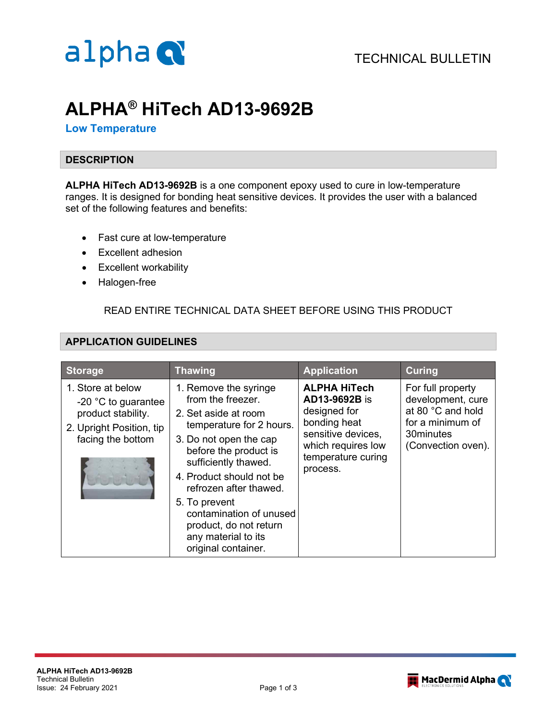

# **ALPHA® HiTech AD13-9692B**

### **Low Temperature**

#### **DESCRIPTION**

**ALPHA HiTech AD13-9692B** is a one component epoxy used to cure in low-temperature ranges. It is designed for bonding heat sensitive devices. It provides the user with a balanced set of the following features and benefits:

- Fast cure at low-temperature
- Excellent adhesion
- Excellent workability
- Halogen-free

## READ ENTIRE TECHNICAL DATA SHEET BEFORE USING THIS PRODUCT

## **APPLICATION GUIDELINES**

| <b>Storage</b>                                                                                                           | <b>Thawing</b>                                                                                                                                                                                                                                                                                                                                      | <b>Application</b>                                                                                                                                 | <b>Curing</b>                                                                                                      |
|--------------------------------------------------------------------------------------------------------------------------|-----------------------------------------------------------------------------------------------------------------------------------------------------------------------------------------------------------------------------------------------------------------------------------------------------------------------------------------------------|----------------------------------------------------------------------------------------------------------------------------------------------------|--------------------------------------------------------------------------------------------------------------------|
| 1. Store at below<br>-20 $\degree$ C to guarantee<br>product stability.<br>2. Upright Position, tip<br>facing the bottom | 1. Remove the syringe<br>from the freezer.<br>2. Set aside at room<br>temperature for 2 hours.<br>3. Do not open the cap<br>before the product is<br>sufficiently thawed.<br>4. Product should not be<br>refrozen after thawed.<br>5. To prevent<br>contamination of unused<br>product, do not return<br>any material to its<br>original container. | <b>ALPHA HiTech</b><br>AD13-9692B is<br>designed for<br>bonding heat<br>sensitive devices,<br>which requires low<br>temperature curing<br>process. | For full property<br>development, cure<br>at 80 °C and hold<br>for a minimum of<br>30minutes<br>(Convection oven). |

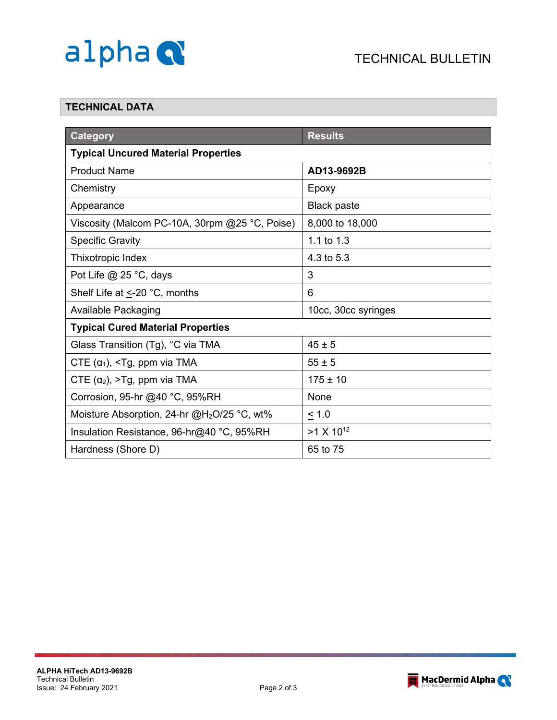

## **TECHNICAL DATA**

| <b>Category</b>                                                                                      | <b>Results</b>      |  |  |  |
|------------------------------------------------------------------------------------------------------|---------------------|--|--|--|
| <b>Typical Uncured Material Properties</b>                                                           |                     |  |  |  |
| <b>Product Name</b>                                                                                  | AD13-9692B          |  |  |  |
| Chemistry                                                                                            | Epoxy               |  |  |  |
| Appearance                                                                                           | <b>Black paste</b>  |  |  |  |
| Viscosity (Malcom PC-10A, 30rpm @25 °C, Poise)                                                       | 8,000 to 18,000     |  |  |  |
| <b>Specific Gravity</b>                                                                              | 1.1 to 1.3          |  |  |  |
| Thixotropic Index                                                                                    | 4.3 to 5.3          |  |  |  |
| Pot Life $@$ 25 °C, days                                                                             | 3                   |  |  |  |
| Shelf Life at <- 20 °C, months                                                                       | 6                   |  |  |  |
| <b>Available Packaging</b>                                                                           | 10cc, 30cc syringes |  |  |  |
| <b>Typical Cured Material Properties</b>                                                             |                     |  |  |  |
| Glass Transition (Tg), °C via TMA                                                                    | $45 \pm 5$          |  |  |  |
| CTE $(\alpha_1)$ , <tg, ppm="" td="" tma<="" via=""><td colspan="2"><math>55 \pm 5</math></td></tg,> | $55 \pm 5$          |  |  |  |
| CTE $(\alpha_2)$ , >Tg, ppm via TMA                                                                  | $175 \pm 10$        |  |  |  |
| Corrosion, 95-hr @40 °C, 95%RH                                                                       | None                |  |  |  |
| Moisture Absorption, 24-hr @H <sub>2</sub> O/25 °C, wt%                                              | $\leq 1.0$          |  |  |  |
| Insulation Resistance, 96-hr@40 °C, 95%RH                                                            | $>1 X 10^{12}$      |  |  |  |
| Hardness (Shore D)                                                                                   | 65 to 75            |  |  |  |